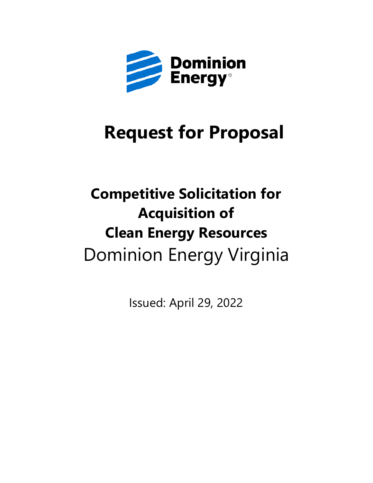

# **Request for Proposal**

# **Competitive Solicitation for Acquisition of Clean Energy Resources** Dominion Energy Virginia

Issued: April 29, 2022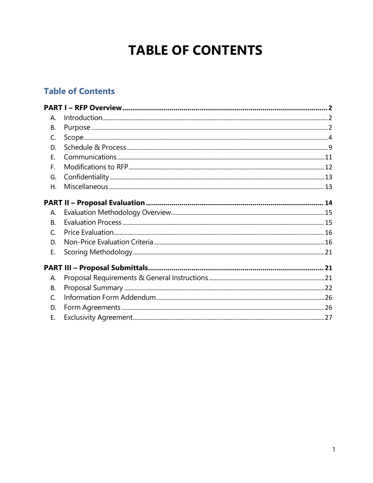## **TABLE OF CONTENTS**

## **Table of Contents**

<span id="page-1-0"></span>

| Α.        |  |
|-----------|--|
| В.        |  |
| C.        |  |
| D.        |  |
| E.        |  |
| F.        |  |
| G.        |  |
| Η.        |  |
|           |  |
| A.        |  |
| <b>B.</b> |  |
| C.        |  |
| D.        |  |
| Ε.        |  |
|           |  |
| А.        |  |
| В.        |  |
| C.        |  |
| D.        |  |
| Е.        |  |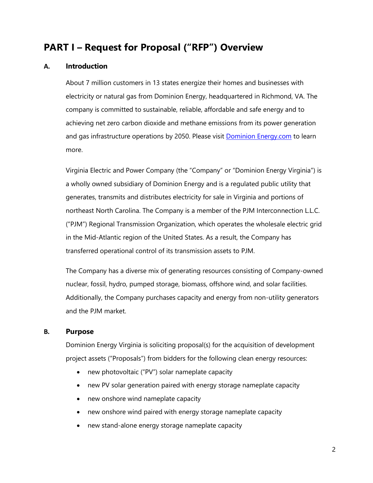## **PART I – Request for Proposal ("RFP") Overview**

#### <span id="page-2-0"></span>**A. Introduction**

About 7 million customers in 13 states energize their homes and businesses with electricity or natural gas from Dominion Energy, headquartered in Richmond, VA. The company is committed to sustainable, reliable, affordable and safe energy and to achieving net zero carbon dioxide and methane emissions from its power generation and gas infrastructure operations by 2050. Please visit [Dominion Energy.com](https://www.dominionenergy.com/) to learn more.

Virginia Electric and Power Company (the "Company" or "Dominion Energy Virginia") is a wholly owned subsidiary of Dominion Energy and is a regulated public utility that generates, transmits and distributes electricity for sale in Virginia and portions of northeast North Carolina. The Company is a member of the PJM Interconnection L.L.C. ("PJM") Regional Transmission Organization, which operates the wholesale electric grid in the Mid-Atlantic region of the United States. As a result, the Company has transferred operational control of its transmission assets to PJM.

The Company has a diverse mix of generating resources consisting of Company-owned nuclear, fossil, hydro, pumped storage, biomass, offshore wind, and solar facilities. Additionally, the Company purchases capacity and energy from non-utility generators and the PJM market.

#### **B. Purpose**

Dominion Energy Virginia is soliciting proposal(s) for the acquisition of development project assets ("Proposals") from bidders for the following clean energy resources:

- new photovoltaic ("PV") solar nameplate capacity
- new PV solar generation paired with energy storage nameplate capacity
- new onshore wind nameplate capacity
- new onshore wind paired with energy storage nameplate capacity
- new stand-alone energy storage nameplate capacity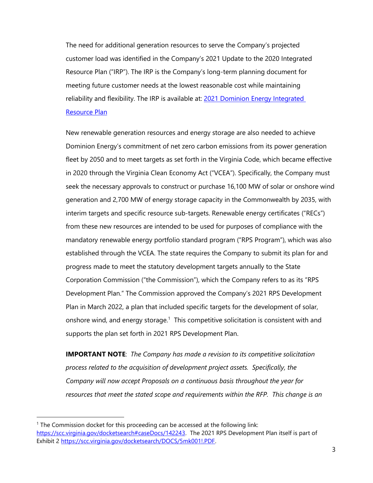The need for additional generation resources to serve the Company's projected customer load was identified in the Company's 2021 Update to the 2020 Integrated Resource Plan ("IRP"). The IRP is the Company's long-term planning document for meeting future customer needs at the lowest reasonable cost while maintaining reliability and flexibility. The IRP is available at: 2021 Dominion Energy Integrated [Resource Plan](https://cdn-dominionenergy-prd-001.azureedge.net/-/media/pdfs/global/company/2021-de-integrated-resource-plan.pdf?la=en&rev=7041f8b02afd4339abd92f0888322c2c)

New renewable generation resources and energy storage are also needed to achieve Dominion Energy's commitment of net zero carbon emissions from its power generation fleet by 2050 and to meet targets as set forth in the Virginia Code, which became effective in 2020 through the Virginia Clean Economy Act ("VCEA"). Specifically, the Company must seek the necessary approvals to construct or purchase 16,100 MW of solar or onshore wind generation and 2,700 MW of energy storage capacity in the Commonwealth by 2035, with interim targets and specific resource sub-targets. Renewable energy certificates ("RECs") from these new resources are intended to be used for purposes of compliance with the mandatory renewable energy portfolio standard program ("RPS Program"), which was also established through the VCEA. The state requires the Company to submit its plan for and progress made to meet the statutory development targets annually to the State Corporation Commission ("the Commission"), which the Company refers to as its "RPS Development Plan." The Commission approved the Company's 2021 RPS Development Plan in March 2022, a plan that included specific targets for the development of solar, onshore wind, and energy storage.<sup>1</sup> This competitive solicitation is consistent with and supports the plan set forth in 2021 RPS Development Plan.

**IMPORTANT NOTE**: *The Company has made a revision to its competitive solicitation process related to the acquisition of development project assets. Specifically, the Company will now accept Proposals on a continuous basis throughout the year for resources that meet the stated scope and requirements within the RFP. This change is an* 

<sup>1</sup> The Commission docket for this proceeding can be accessed at the following link: [https://scc.virginia.gov/docketsearch#caseDocs/142243.](https://scc.virginia.gov/docketsearch#caseDocs/142243) The 2021 RPS Development Plan itself is part of Exhibit 2 [https://scc.virginia.gov/docketsearch/DOCS/5mk001!.PDF.](https://scc.virginia.gov/docketsearch/DOCS/5mk001!.PDF)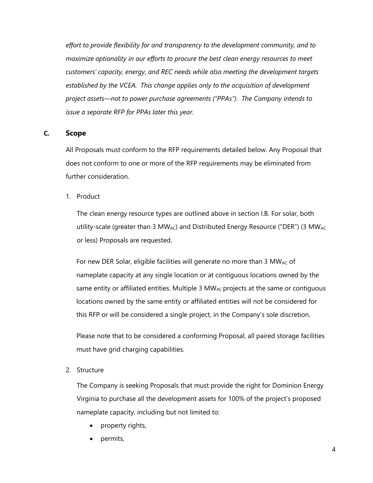*effort to provide flexibility for and transparency to the development community, and to maximize optionality in our efforts to procure the best clean energy resources to meet customers' capacity, energy, and REC needs while also meeting the development targets established by the VCEA. This change applies only to the acquisition of development project assets—not to power purchase agreements ("PPAs"). The Company intends to issue a separate RFP for PPAs later this year.* 

#### <span id="page-4-0"></span>**C. Scope**

All Proposals must conform to the RFP requirements detailed below. Any Proposal that does not conform to one or more of the RFP requirements may be eliminated from further consideration.

1. Product

The clean energy resource types are outlined above in section I.B. For solar, both utility-scale (greater than 3 MW<sub>AC</sub>) and Distributed Energy Resource ("DER") (3 MW<sub>AC</sub> or less) Proposals are requested.

For new DER Solar, eligible facilities will generate no more than 3 MW<sub>AC</sub> of nameplate capacity at any single location or at contiguous locations owned by the same entity or affiliated entities. Multiple 3  $MW_{AC}$  projects at the same or contiguous locations owned by the same entity or affiliated entities will not be considered for this RFP or will be considered a single project, in the Company's sole discretion.

Please note that to be considered a conforming Proposal, all paired storage facilities must have grid charging capabilities.

2. Structure

The Company is seeking Proposals that must provide the right for Dominion Energy Virginia to purchase all the development assets for 100% of the project's proposed nameplate capacity, including but not limited to:

- property rights,
- permits,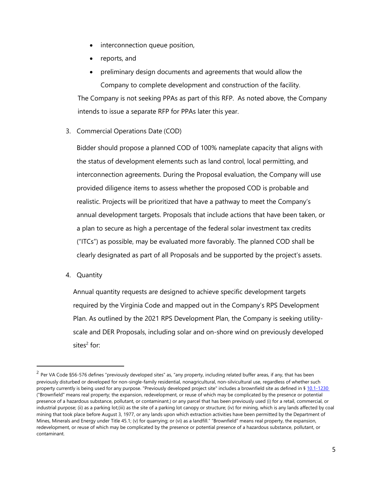- interconnection queue position,
- reports, and
- preliminary design documents and agreements that would allow the Company to complete development and construction of the facility.

The Company is not seeking PPAs as part of this RFP. As noted above, the Company intends to issue a separate RFP for PPAs later this year.

3. Commercial Operations Date (COD)

Bidder should propose a planned COD of 100% nameplate capacity that aligns with the status of development elements such as land control, local permitting, and interconnection agreements. During the Proposal evaluation, the Company will use provided diligence items to assess whether the proposed COD is probable and realistic. Projects will be prioritized that have a pathway to meet the Company's annual development targets. Proposals that include actions that have been taken, or a plan to secure as high a percentage of the federal solar investment tax credits ("ITCs") as possible, may be evaluated more favorably. The planned COD shall be clearly designated as part of all Proposals and be supported by the project's assets.

4. Quantity

Annual quantity requests are designed to achieve specific development targets required by the Virginia Code and mapped out in the Company's RPS Development Plan. As outlined by the 2021 RPS Development Plan, the Company is seeking utilityscale and DER Proposals, including solar and on-shore wind on previously developed sites<sup>2</sup> for:

 $^2$  Per VA Code §56-576 defines "previously developed sites" as, "any property, including related buffer areas, if any, that has been previously disturbed or developed for non-single-family residential, nonagricultural, non-silvicultural use, regardless of whether such property currently is being used for any purpose. "Previously developed project site" includes a brownfield site as defined in § 10.1-1230 ("Brownfield" means real property; the expansion, redevelopment, or reuse of which may be complicated by the presence or potential presence of a hazardous substance, pollutant, or contaminant.) or any parcel that has been previously used (i) for a retail, commercial, or industrial purpose; (ii) as a parking lot;(iii) as the site of a parking lot canopy or structure; (iv) for mining, which is any lands affected by coal mining that took place before August 3, 1977, or any lands upon which extraction activities have been permitted by the Department of Mines, Minerals and Energy under Title 45.1; (v) for quarrying; or (vi) as a landfill." "Brownfield" means real property, the expansion, redevelopment, or reuse of which may be complicated by the presence or potential presence of a hazardous substance, pollutant, or contaminant.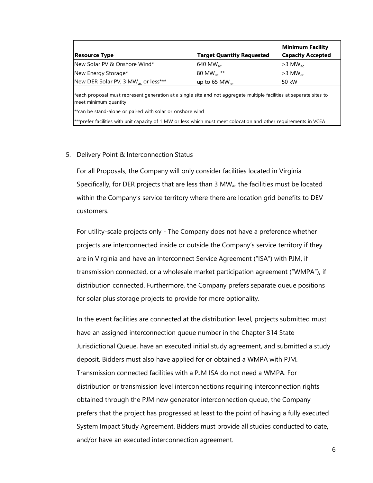| <b>Resource Type</b>                                                                                                                          | <b>Target Quantity Requested</b> | <b>Minimum Facility</b><br><b>Capacity Accepted</b> |  |  |
|-----------------------------------------------------------------------------------------------------------------------------------------------|----------------------------------|-----------------------------------------------------|--|--|
| INew Solar PV & Onshore Wind*                                                                                                                 | 640 MW <sub>ac</sub>             | $>3$ MW <sub>ac</sub>                               |  |  |
| New Energy Storage*                                                                                                                           | 80 MW <sub>ac</sub> **           | $>3$ MW <sub>ac</sub>                               |  |  |
| New DER Solar PV, 3 MW <sub>ac</sub> or less***                                                                                               | up to 65 MW <sub>ac</sub>        | 50 kW                                               |  |  |
| *each proposal must represent generation at a single site and not aggregate multiple facilities at separate sites to<br>meet minimum quantity |                                  |                                                     |  |  |
| <sup>**</sup> can be stand-alone or paired with solar or onshore wind                                                                         |                                  |                                                     |  |  |
| ***prefer facilities with unit capacity of 1 MW or less which must meet colocation and other requirements in VCEA                             |                                  |                                                     |  |  |

#### 5. Delivery Point & Interconnection Status

For all Proposals, the Company will only consider facilities located in Virginia Specifically, for DER projects that are less than  $3 \text{ MW}_{ac}$  the facilities must be located within the Company's service territory where there are location grid benefits to DEV customers.

For utility-scale projects only - The Company does not have a preference whether projects are interconnected inside or outside the Company's service territory if they are in Virginia and have an Interconnect Service Agreement ("ISA") with PJM, if transmission connected, or a wholesale market participation agreement ("WMPA"), if distribution connected. Furthermore, the Company prefers separate queue positions for solar plus storage projects to provide for more optionality.

In the event facilities are connected at the distribution level, projects submitted must have an assigned interconnection queue number in the Chapter 314 State Jurisdictional Queue, have an executed initial study agreement, and submitted a study deposit. Bidders must also have applied for or obtained a WMPA with PJM. Transmission connected facilities with a PJM ISA do not need a WMPA. For distribution or transmission level interconnections requiring interconnection rights obtained through the PJM new generator interconnection queue, the Company prefers that the project has progressed at least to the point of having a fully executed System Impact Study Agreement. Bidders must provide all studies conducted to date, and/or have an executed interconnection agreement.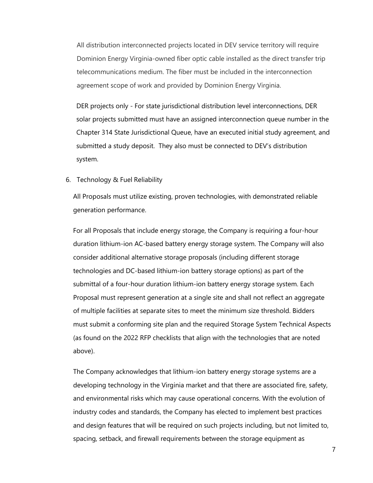All distribution interconnected projects located in DEV service territory will require Dominion Energy Virginia-owned fiber optic cable installed as the direct transfer trip telecommunications medium. The fiber must be included in the interconnection agreement scope of work and provided by Dominion Energy Virginia.

DER projects only - For state jurisdictional distribution level interconnections, DER solar projects submitted must have an assigned interconnection queue number in the Chapter 314 State Jurisdictional Queue, have an executed initial study agreement, and submitted a study deposit. They also must be connected to DEV's distribution system.

#### 6. Technology & Fuel Reliability

All Proposals must utilize existing, proven technologies, with demonstrated reliable generation performance.

For all Proposals that include energy storage, the Company is requiring a four-hour duration lithium-ion AC-based battery energy storage system. The Company will also consider additional alternative storage proposals (including different storage technologies and DC-based lithium-ion battery storage options) as part of the submittal of a four-hour duration lithium-ion battery energy storage system. Each Proposal must represent generation at a single site and shall not reflect an aggregate of multiple facilities at separate sites to meet the minimum size threshold. Bidders must submit a conforming site plan and the required Storage System Technical Aspects (as found on the 2022 RFP checklists that align with the technologies that are noted above).

The Company acknowledges that lithium-ion battery energy storage systems are a developing technology in the Virginia market and that there are associated fire, safety, and environmental risks which may cause operational concerns. With the evolution of industry codes and standards, the Company has elected to implement best practices and design features that will be required on such projects including, but not limited to, spacing, setback, and firewall requirements between the storage equipment as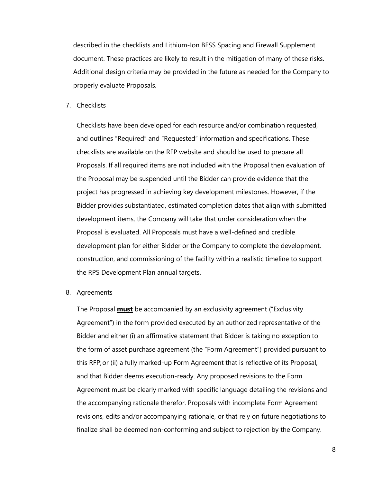described in the checklists and Lithium-Ion BESS Spacing and Firewall Supplement document. These practices are likely to result in the mitigation of many of these risks. Additional design criteria may be provided in the future as needed for the Company to properly evaluate Proposals.

7. Checklists

Checklists have been developed for each resource and/or combination requested, and outlines "Required" and "Requested" information and specifications. These checklists are available on the RFP website and should be used to prepare all Proposals. If all required items are not included with the Proposal then evaluation of the Proposal may be suspended until the Bidder can provide evidence that the project has progressed in achieving key development milestones. However, if the Bidder provides substantiated, estimated completion dates that align with submitted development items, the Company will take that under consideration when the Proposal is evaluated. All Proposals must have a well-defined and credible development plan for either Bidder or the Company to complete the development, construction, and commissioning of the facility within a realistic timeline to support the RPS Development Plan annual targets.

8. Agreements

The Proposal **must** be accompanied by an exclusivity agreement ("Exclusivity Agreement") in the form provided executed by an authorized representative of the Bidder and either (i) an affirmative statement that Bidder is taking no exception to the form of asset purchase agreement (the "Form Agreement") provided pursuant to this RFP;or (ii) a fully marked-up Form Agreement that is reflective of its Proposal, and that Bidder deems execution-ready. Any proposed revisions to the Form Agreement must be clearly marked with specific language detailing the revisions and the accompanying rationale therefor. Proposals with incomplete Form Agreement revisions, edits and/or accompanying rationale, or that rely on future negotiations to finalize shall be deemed non-conforming and subject to rejection by the Company.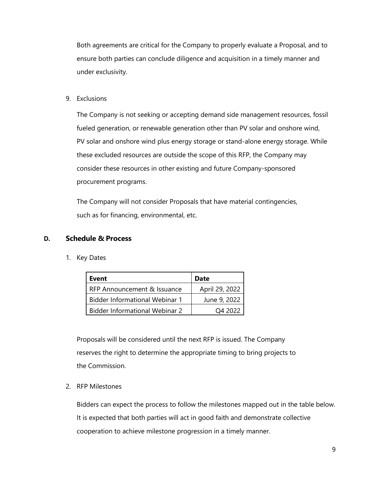Both agreements are critical for the Company to properly evaluate a Proposal, and to ensure both parties can conclude diligence and acquisition in a timely manner and under exclusivity.

9. Exclusions

The Company is not seeking or accepting demand side management resources, fossil fueled generation, or renewable generation other than PV solar and onshore wind, PV solar and onshore wind plus energy storage or stand-alone energy storage. While these excluded resources are outside the scope of this RFP, the Company may consider these resources in other existing and future Company-sponsored procurement programs.

The Company will not consider Proposals that have material contingencies, such as for financing, environmental, etc.

#### <span id="page-9-0"></span>**D. Schedule & Process**

1. Key Dates

| Event                                 | <b>Date</b>    |
|---------------------------------------|----------------|
| RFP Announcement & Issuance           | April 29, 2022 |
| <b>Bidder Informational Webinar 1</b> | June 9, 2022   |
| <b>Bidder Informational Webinar 2</b> | O4 2022        |

Proposals will be considered until the next RFP is issued. The Company reserves the right to determine the appropriate timing to bring projects to the Commission.

2. RFP Milestones

Bidders can expect the process to follow the milestones mapped out in the table below. It is expected that both parties will act in good faith and demonstrate collective cooperation to achieve milestone progression in a timely manner.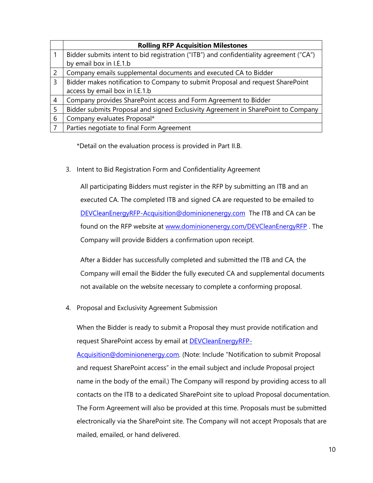|   | <b>Rolling RFP Acquisition Milestones</b>                                              |
|---|----------------------------------------------------------------------------------------|
|   | Bidder submits intent to bid registration ("ITB") and confidentiality agreement ("CA") |
|   | by email box in I.E.1.b                                                                |
| 2 | Company emails supplemental documents and executed CA to Bidder                        |
| 3 | Bidder makes notification to Company to submit Proposal and request SharePoint         |
|   | access by email box in I.E.1.b                                                         |
| 4 | Company provides SharePoint access and Form Agreement to Bidder                        |
| 5 | Bidder submits Proposal and signed Exclusivity Agreement in SharePoint to Company      |
| 6 | Company evaluates Proposal*                                                            |
|   | Parties negotiate to final Form Agreement                                              |

\*Detail on the evaluation process is provided in Part II.B.

3. Intent to Bid Registration Form and Confidentiality Agreement

All participating Bidders must register in the RFP by submitting an ITB and an executed CA. The completed ITB and signed CA are requested to be emailed to [DEVCleanEnergyRFP-Acquisition@dominionenergy.com](mailto:DEVCleanEnergyRFP-Acquisition@dominionenergy.com) The ITB and CA can be found on the RFP website at [www.dominionenergy.com/DEVCleanEnergyRFP](http://www.dominionenergy.com/DEVCleanEnergyRFP) . The Company will provide Bidders a confirmation upon receipt.

After a Bidder has successfully completed and submitted the ITB and CA, the Company will email the Bidder the fully executed CA and supplemental documents not available on the website necessary to complete a conforming proposal.

4. Proposal and Exclusivity Agreement Submission

When the Bidder is ready to submit a Proposal they must provide notification and request SharePoint access by email at **DEVCleanEnergyRFP-**

[Acquisition@dominionenergy.com.](mailto:DEVCleanEnergyRFP-Acquisition@dominionenergy.com) (Note: Include "Notification to submit Proposal and request SharePoint access" in the email subject and include Proposal project name in the body of the email.) The Company will respond by providing access to all contacts on the ITB to a dedicated SharePoint site to upload Proposal documentation. The Form Agreement will also be provided at this time. Proposals must be submitted electronically via the SharePoint site. The Company will not accept Proposals that are mailed, emailed, or hand delivered.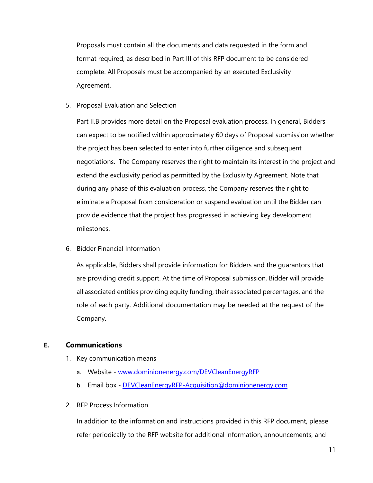Proposals must contain all the documents and data requested in the form and format required, as described in Part III of this RFP document to be considered complete. All Proposals must be accompanied by an executed Exclusivity Agreement.

5. Proposal Evaluation and Selection

Part II.B provides more detail on the Proposal evaluation process. In general, Bidders can expect to be notified within approximately 60 days of Proposal submission whether the project has been selected to enter into further diligence and subsequent negotiations. The Company reserves the right to maintain its interest in the project and extend the exclusivity period as permitted by the Exclusivity Agreement. Note that during any phase of this evaluation process, the Company reserves the right to eliminate a Proposal from consideration or suspend evaluation until the Bidder can provide evidence that the project has progressed in achieving key development milestones.

6. Bidder Financial Information

As applicable, Bidders shall provide information for Bidders and the guarantors that are providing credit support. At the time of Proposal submission, Bidder will provide all associated entities providing equity funding, their associated percentages, and the role of each party. Additional documentation may be needed at the request of the Company.

#### <span id="page-11-0"></span>**E. Communications**

- 1. Key communication means
	- a. Website [www.dominionenergy.com/DEVCleanEnergyRFP](http://www.dominionenergy.com/DEVCleanEnergyRFP)
	- b. Email box [DEVCleanEnergyRFP-Acquisition@dominionenergy.com](mailto:DEVCleanEnergyRFP-Acquisition@dominionenergy.com)
- 2. RFP Process Information

In addition to the information and instructions provided in this RFP document, please refer periodically to the RFP website for additional information, announcements, and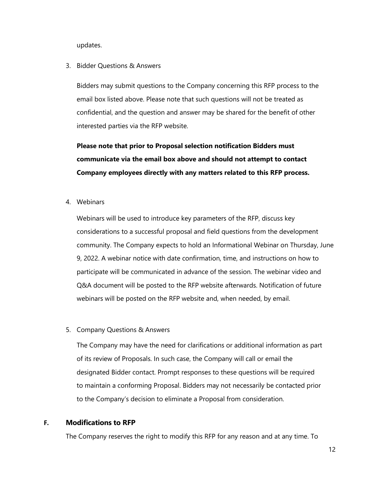updates.

3. Bidder Questions & Answers

Bidders may submit questions to the Company concerning this RFP process to the email box listed above. Please note that such questions will not be treated as confidential, and the question and answer may be shared for the benefit of other interested parties via the RFP website.

**Please note that prior to Proposal selection notification Bidders must communicate via the email box above and should not attempt to contact Company employees directly with any matters related to this RFP process.**

4. Webinars

Webinars will be used to introduce key parameters of the RFP, discuss key considerations to a successful proposal and field questions from the development community. The Company expects to hold an Informational Webinar on Thursday, June 9, 2022. A webinar notice with date confirmation, time, and instructions on how to participate will be communicated in advance of the session. The webinar video and Q&A document will be posted to the RFP website afterwards. Notification of future webinars will be posted on the RFP website and, when needed, by email.

5. Company Questions & Answers

The Company may have the need for clarifications or additional information as part of its review of Proposals. In such case, the Company will call or email the designated Bidder contact. Prompt responses to these questions will be required to maintain a conforming Proposal. Bidders may not necessarily be contacted prior to the Company's decision to eliminate a Proposal from consideration.

#### <span id="page-12-0"></span>**F. Modifications to RFP**

The Company reserves the right to modify this RFP for any reason and at any time. To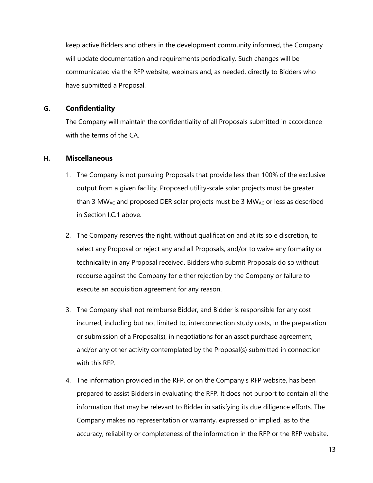keep active Bidders and others in the development community informed, the Company will update documentation and requirements periodically. Such changes will be communicated via the RFP website, webinars and, as needed, directly to Bidders who have submitted a Proposal.

#### <span id="page-13-0"></span>**G. Confidentiality**

The Company will maintain the confidentiality of all Proposals submitted in accordance with the terms of the CA.

#### <span id="page-13-1"></span>**H. Miscellaneous**

- 1. The Company is not pursuing Proposals that provide less than 100% of the exclusive output from a given facility. Proposed utility-scale solar projects must be greater than 3 MW<sub>AC</sub> and proposed DER solar projects must be 3 MW<sub>AC</sub> or less as described in Section I.C.1 above.
- 2. The Company reserves the right, without qualification and at its sole discretion, to select any Proposal or reject any and all Proposals, and/or to waive any formality or technicality in any Proposal received. Bidders who submit Proposals do so without recourse against the Company for either rejection by the Company or failure to execute an acquisition agreement for any reason.
- 3. The Company shall not reimburse Bidder, and Bidder is responsible for any cost incurred, including but not limited to, interconnection study costs, in the preparation or submission of a Proposal(s), in negotiations for an asset purchase agreement, and/or any other activity contemplated by the Proposal(s) submitted in connection with this RFP.
- 4. The information provided in the RFP, or on the Company's RFP website, has been prepared to assist Bidders in evaluating the RFP. It does not purport to contain all the information that may be relevant to Bidder in satisfying its due diligence efforts. The Company makes no representation or warranty, expressed or implied, as to the accuracy, reliability or completeness of the information in the RFP or the RFP website,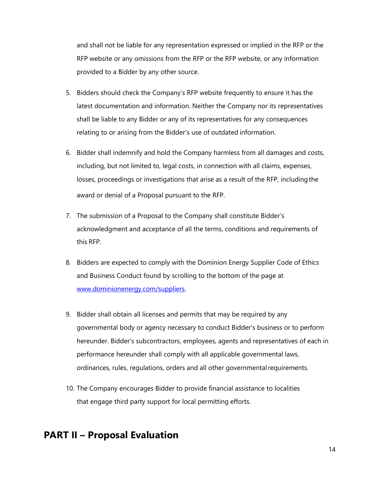and shall not be liable for any representation expressed or implied in the RFP or the RFP website or any omissions from the RFP or the RFP website, or any information provided to a Bidder by any other source.

- 5. Bidders should check the Company's RFP website frequently to ensure it has the latest documentation and information. Neither the Company nor its representatives shall be liable to any Bidder or any of its representatives for any consequences relating to or arising from the Bidder's use of outdated information.
- 6. Bidder shall indemnify and hold the Company harmless from all damages and costs, including, but not limited to, legal costs, in connection with all claims, expenses, losses, proceedings or investigations that arise as a result of the RFP, includingthe award or denial of a Proposal pursuant to the RFP.
- 7. The submission of a Proposal to the Company shall constitute Bidder's acknowledgment and acceptance of all the terms, conditions and requirements of this RFP.
- 8. Bidders are expected to comply with the Dominion Energy Supplier Code of Ethics and Business Conduct found by scrolling to the bottom of the page at [www.dominionenergy.com/suppliers.](http://www.dominionenergy.com/suppliers)
- 9. Bidder shall obtain all licenses and permits that may be required by any governmental body or agency necessary to conduct Bidder's business or to perform hereunder. Bidder's subcontractors, employees, agents and representatives of each in performance hereunder shall comply with all applicable governmental laws, ordinances, rules, regulations, orders and all other governmentalrequirements.
- 10. The Company encourages Bidder to provide financial assistance to localities that engage third party support for local permitting efforts.

## <span id="page-14-0"></span>**PART II – Proposal Evaluation**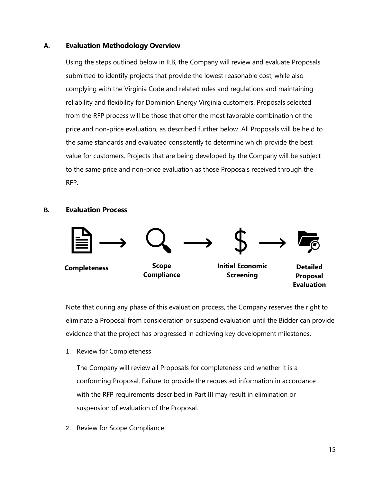#### **A. Evaluation Methodology Overview**

Using the steps outlined below in II.B, the Company will review and evaluate Proposals submitted to identify projects that provide the lowest reasonable cost, while also complying with the Virginia Code and related rules and regulations and maintaining reliability and flexibility for Dominion Energy Virginia customers. Proposals selected from the RFP process will be those that offer the most favorable combination of the price and non-price evaluation, as described further below. All Proposals will be held to the same standards and evaluated consistently to determine which provide the best value for customers. Projects that are being developed by the Company will be subject to the same price and non-price evaluation as those Proposals received through the RFP.

#### <span id="page-15-0"></span>**B. Evaluation Process**



Note that during any phase of this evaluation process, the Company reserves the right to eliminate a Proposal from consideration or suspend evaluation until the Bidder can provide evidence that the project has progressed in achieving key development milestones.

1. Review for Completeness

The Company will review all Proposals for completeness and whether it is a conforming Proposal. Failure to provide the requested information in accordance with the RFP requirements described in Part III may result in elimination or suspension of evaluation of the Proposal.

2. Review for Scope Compliance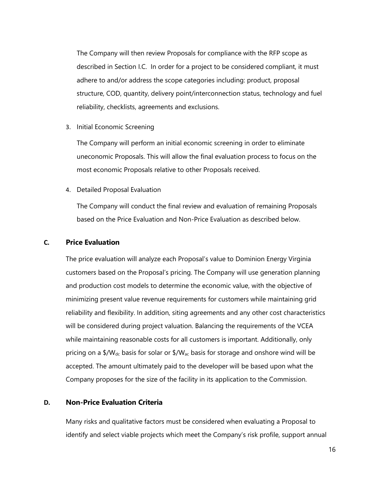The Company will then review Proposals for compliance with the RFP scope as described in Section I.C. In order for a project to be considered compliant, it must adhere to and/or address the scope categories including: product, proposal structure, COD, quantity, delivery point/interconnection status, technology and fuel reliability, checklists, agreements and exclusions.

3. Initial Economic Screening

The Company will perform an initial economic screening in order to eliminate uneconomic Proposals. This will allow the final evaluation process to focus on the most economic Proposals relative to other Proposals received.

4. Detailed Proposal Evaluation

The Company will conduct the final review and evaluation of remaining Proposals based on the Price Evaluation and Non-Price Evaluation as described below.

#### <span id="page-16-0"></span>**C. Price Evaluation**

The price evaluation will analyze each Proposal's value to Dominion Energy Virginia customers based on the Proposal's pricing. The Company will use generation planning and production cost models to determine the economic value, with the objective of minimizing present value revenue requirements for customers while maintaining grid reliability and flexibility. In addition, siting agreements and any other cost characteristics will be considered during project valuation. Balancing the requirements of the VCEA while maintaining reasonable costs for all customers is important. Additionally, only pricing on a  $\frac{4}{N}$ , basis for solar or  $\frac{4}{N}$ <sub>ac</sub> basis for storage and onshore wind will be accepted. The amount ultimately paid to the developer will be based upon what the Company proposes for the size of the facility in its application to the Commission.

#### <span id="page-16-1"></span>**D. Non-Price Evaluation Criteria**

Many risks and qualitative factors must be considered when evaluating a Proposal to identify and select viable projects which meet the Company's risk profile, support annual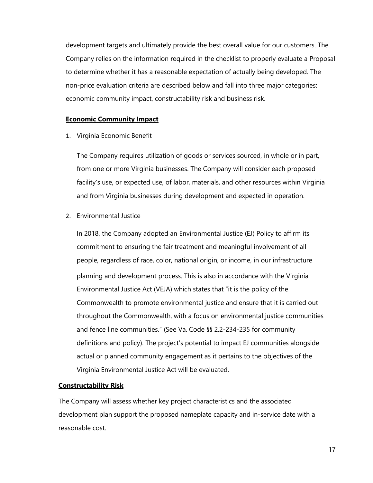development targets and ultimately provide the best overall value for our customers. The Company relies on the information required in the checklist to properly evaluate a Proposal to determine whether it has a reasonable expectation of actually being developed. The non-price evaluation criteria are described below and fall into three major categories: economic community impact, constructability risk and business risk.

#### **Economic Community Impact**

1. Virginia Economic Benefit

The Company requires utilization of goods or services sourced, in whole or in part, from one or more Virginia businesses. The Company will consider each proposed facility's use, or expected use, of labor, materials, and other resources within Virginia and from Virginia businesses during development and expected in operation.

2. Environmental Justice

In 2018, the Company adopted an Environmental Justice (EJ) Policy to affirm its commitment to ensuring the fair treatment and meaningful involvement of all people, regardless of race, color, national origin, or income, in our infrastructure planning and development process. This is also in accordance with the Virginia Environmental Justice Act (VEJA) which states that "it is the policy of the Commonwealth to promote environmental justice and ensure that it is carried out throughout the Commonwealth, with a focus on environmental justice communities and fence line communities." (See Va. Code §§ 2.2-234-235 for community definitions and policy). The project's potential to impact EJ communities alongside actual or planned community engagement as it pertains to the objectives of the Virginia Environmental Justice Act will be evaluated.

#### **Constructability Risk**

The Company will assess whether key project characteristics and the associated development plan support the proposed nameplate capacity and in-service date with a reasonable cost.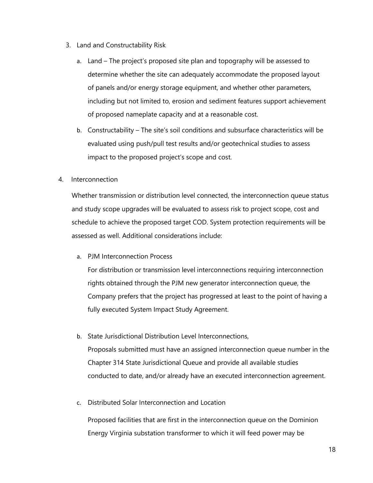- 3. Land and Constructability Risk
	- a. Land The project's proposed site plan and topography will be assessed to determine whether the site can adequately accommodate the proposed layout of panels and/or energy storage equipment, and whether other parameters, including but not limited to, erosion and sediment features support achievement of proposed nameplate capacity and at a reasonable cost.
	- b. Constructability The site's soil conditions and subsurface characteristics will be evaluated using push/pull test results and/or geotechnical studies to assess impact to the proposed project's scope and cost.
- 4. Interconnection

Whether transmission or distribution level connected, the interconnection queue status and study scope upgrades will be evaluated to assess risk to project scope, cost and schedule to achieve the proposed target COD. System protection requirements will be assessed as well. Additional considerations include:

a. PJM Interconnection Process

For distribution or transmission level interconnections requiring interconnection rights obtained through the PJM new generator interconnection queue, the Company prefers that the project has progressed at least to the point of having a fully executed System Impact Study Agreement.

- b. State Jurisdictional Distribution Level Interconnections, Proposals submitted must have an assigned interconnection queue number in the Chapter 314 State Jurisdictional Queue and provide all available studies conducted to date, and/or already have an executed interconnection agreement.
- c. Distributed Solar Interconnection and Location

Proposed facilities that are first in the interconnection queue on the Dominion Energy Virginia substation transformer to which it will feed power may be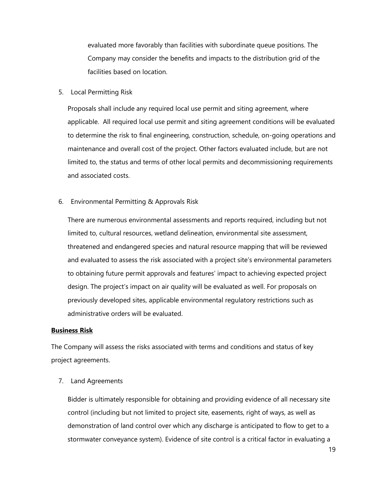evaluated more favorably than facilities with subordinate queue positions. The Company may consider the benefits and impacts to the distribution grid of the facilities based on location.

5. Local Permitting Risk

Proposals shall include any required local use permit and siting agreement, where applicable. All required local use permit and siting agreement conditions will be evaluated to determine the risk to final engineering, construction, schedule, on-going operations and maintenance and overall cost of the project. Other factors evaluated include, but are not limited to, the status and terms of other local permits and decommissioning requirements and associated costs.

6. Environmental Permitting & Approvals Risk

There are numerous environmental assessments and reports required, including but not limited to, cultural resources, wetland delineation, environmental site assessment, threatened and endangered species and natural resource mapping that will be reviewed and evaluated to assess the risk associated with a project site's environmental parameters to obtaining future permit approvals and features' impact to achieving expected project design. The project's impact on air quality will be evaluated as well. For proposals on previously developed sites, applicable environmental regulatory restrictions such as administrative orders will be evaluated.

#### **Business Risk**

The Company will assess the risks associated with terms and conditions and status of key project agreements.

7. Land Agreements

Bidder is ultimately responsible for obtaining and providing evidence of all necessary site control (including but not limited to project site, easements, right of ways, as well as demonstration of land control over which any discharge is anticipated to flow to get to a stormwater conveyance system). Evidence of site control is a critical factor in evaluating a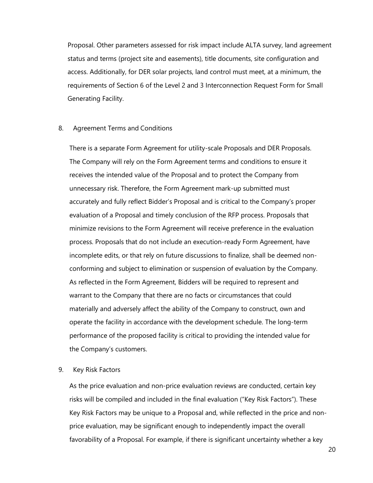Proposal. Other parameters assessed for risk impact include ALTA survey, land agreement status and terms (project site and easements), title documents, site configuration and access. Additionally, for DER solar projects, land control must meet, at a minimum, the requirements of Section 6 of the Level 2 and 3 Interconnection Request Form for Small Generating Facility.

#### 8. Agreement Terms and Conditions

There is a separate Form Agreement for utility-scale Proposals and DER Proposals. The Company will rely on the Form Agreement terms and conditions to ensure it receives the intended value of the Proposal and to protect the Company from unnecessary risk. Therefore, the Form Agreement mark-up submitted must accurately and fully reflect Bidder's Proposal and is critical to the Company's proper evaluation of a Proposal and timely conclusion of the RFP process. Proposals that minimize revisions to the Form Agreement will receive preference in the evaluation process. Proposals that do not include an execution-ready Form Agreement, have incomplete edits, or that rely on future discussions to finalize, shall be deemed nonconforming and subject to elimination or suspension of evaluation by the Company. As reflected in the Form Agreement, Bidders will be required to represent and warrant to the Company that there are no facts or circumstances that could materially and adversely affect the ability of the Company to construct, own and operate the facility in accordance with the development schedule. The long-term performance of the proposed facility is critical to providing the intended value for the Company's customers.

#### 9. Key Risk Factors

As the price evaluation and non-price evaluation reviews are conducted, certain key risks will be compiled and included in the final evaluation ("Key Risk Factors"). These Key Risk Factors may be unique to a Proposal and, while reflected in the price and nonprice evaluation, may be significant enough to independently impact the overall favorability of a Proposal. For example, if there is significant uncertainty whether a key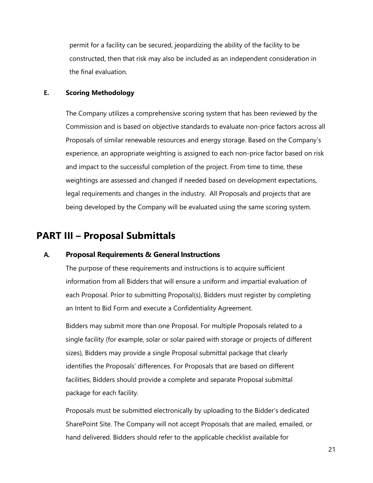permit for a facility can be secured, jeopardizing the ability of the facility to be constructed, then that risk may also be included as an independent consideration in the final evaluation.

#### **E. Scoring Methodology**

The Company utilizes a comprehensive scoring system that has been reviewed by the Commission and is based on objective standards to evaluate non-price factors across all Proposals of similar renewable resources and energy storage. Based on the Company's experience, an appropriate weighting is assigned to each non-price factor based on risk and impact to the successful completion of the project. From time to time, these weightings are assessed and changed if needed based on development expectations, legal requirements and changes in the industry. All Proposals and projects that are being developed by the Company will be evaluated using the same scoring system.

### <span id="page-21-0"></span>**PART III – Proposal Submittals**

#### **A. Proposal Requirements & General Instructions**

The purpose of these requirements and instructions is to acquire sufficient information from all Bidders that will ensure a uniform and impartial evaluation of each Proposal. Prior to submitting Proposal(s), Bidders must register by completing an Intent to Bid Form and execute a Confidentiality Agreement.

Bidders may submit more than one Proposal. For multiple Proposals related to a single facility (for example, solar or solar paired with storage or projects of different sizes), Bidders may provide a single Proposal submittal package that clearly identifies the Proposals' differences. For Proposals that are based on different facilities, Bidders should provide a complete and separate Proposal submittal package for each facility.

Proposals must be submitted electronically by uploading to the Bidder's dedicated SharePoint Site. The Company will not accept Proposals that are mailed, emailed, or hand delivered. Bidders should refer to the applicable checklist available for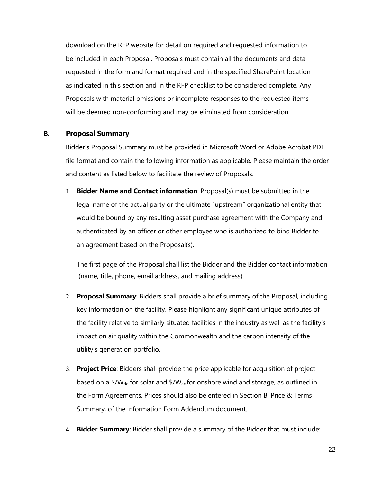download on the RFP website for detail on required and requested information to be included in each Proposal. Proposals must contain all the documents and data requested in the form and format required and in the specified SharePoint location as indicated in this section and in the RFP checklist to be considered complete. Any Proposals with material omissions or incomplete responses to the requested items will be deemed non-conforming and may be eliminated from consideration.

#### <span id="page-22-0"></span>**B. Proposal Summary**

Bidder's Proposal Summary must be provided in Microsoft Word or Adobe Acrobat PDF file format and contain the following information as applicable. Please maintain the order and content as listed below to facilitate the review of Proposals.

1. **Bidder Name and Contact information**: Proposal(s) must be submitted in the legal name of the actual party or the ultimate "upstream" organizational entity that would be bound by any resulting asset purchase agreement with the Company and authenticated by an officer or other employee who is authorized to bind Bidder to an agreement based on the Proposal(s).

The first page of the Proposal shall list the Bidder and the Bidder contact information (name, title, phone, email address, and mailing address).

- 2. **Proposal Summary**: Bidders shall provide a brief summary of the Proposal, including key information on the facility. Please highlight any significant unique attributes of the facility relative to similarly situated facilities in the industry as well as the facility's impact on air quality within the Commonwealth and the carbon intensity of the utility's generation portfolio.
- 3. **Project Price**: Bidders shall provide the price applicable for acquisition of project based on a  $\frac{4}{N}$ <sub>dc</sub> for solar and  $\frac{4}{N}$ <sub>ac</sub> for onshore wind and storage, as outlined in the Form Agreements. Prices should also be entered in Section B, Price & Terms Summary, of the Information Form Addendum document.
- 4. **Bidder Summary**: Bidder shall provide a summary of the Bidder that must include: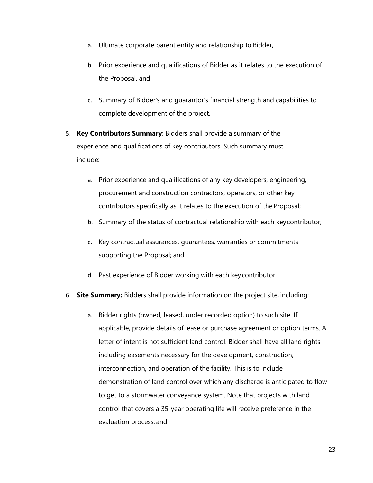- a. Ultimate corporate parent entity and relationship to Bidder,
- b. Prior experience and qualifications of Bidder as it relates to the execution of the Proposal, and
- c. Summary of Bidder's and guarantor's financial strength and capabilities to complete development of the project.
- 5. **Key Contributors Summary**: Bidders shall provide a summary of the experience and qualifications of key contributors. Such summary must include:
	- a. Prior experience and qualifications of any key developers, engineering, procurement and construction contractors, operators, or other key contributors specifically as it relates to the execution of the Proposal;
	- b. Summary of the status of contractual relationship with each keycontributor;
	- c. Key contractual assurances, guarantees, warranties or commitments supporting the Proposal; and
	- d. Past experience of Bidder working with each key contributor.

#### 6. **Site Summary:** Bidders shall provide information on the project site, including:

a. Bidder rights (owned, leased, under recorded option) to such site. If applicable, provide details of lease or purchase agreement or option terms. A letter of intent is not sufficient land control. Bidder shall have all land rights including easements necessary for the development, construction, interconnection, and operation of the facility. This is to include demonstration of land control over which any discharge is anticipated to flow to get to a stormwater conveyance system. Note that projects with land control that covers a 35-year operating life will receive preference in the evaluation process; and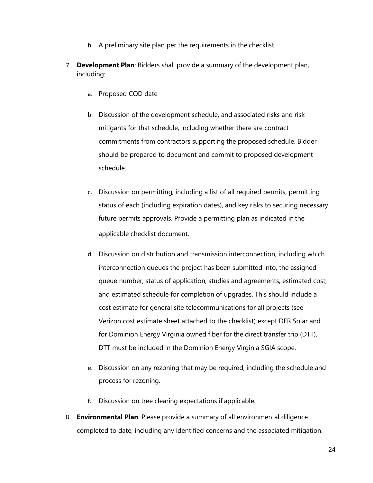- b. A preliminary site plan per the requirements in the checklist.
- 7. **Development Plan**: Bidders shall provide a summary of the development plan, including:
	- a. Proposed COD date
	- b. Discussion of the development schedule, and associated risks and risk mitigants for that schedule, including whether there are contract commitments from contractors supporting the proposed schedule. Bidder should be prepared to document and commit to proposed development schedule.
	- c. Discussion on permitting, including a list of all required permits, permitting status of each (including expiration dates), and key risks to securing necessary future permits approvals. Provide a permitting plan as indicated in the applicable checklist document.
	- d. Discussion on distribution and transmission interconnection, including which interconnection queues the project has been submitted into, the assigned queue number, status of application, studies and agreements, estimated cost, and estimated schedule for completion of upgrades. This should include a cost estimate for general site telecommunications for all projects (see Verizon cost estimate sheet attached to the checklist) except DER Solar and for Dominion Energy Virginia owned fiber for the direct transfer trip (DTT). DTT must be included in the Dominion Energy Virginia SGIA scope.
	- e. Discussion on any rezoning that may be required, including the schedule and process for rezoning.
	- f. Discussion on tree clearing expectations if applicable.
- 8. **Environmental Plan**: Please provide a summary of all environmental diligence completed to date, including any identified concerns and the associated mitigation.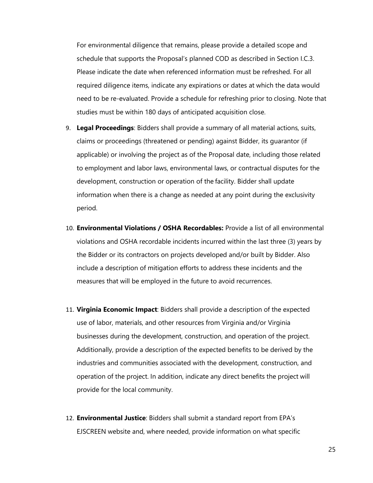For environmental diligence that remains, please provide a detailed scope and schedule that supports the Proposal's planned COD as described in Section I.C.3. Please indicate the date when referenced information must be refreshed. For all required diligence items, indicate any expirations or dates at which the data would need to be re-evaluated. Provide a schedule for refreshing prior to closing. Note that studies must be within 180 days of anticipated acquisition close.

- 9. **Legal Proceedings**: Bidders shall provide a summary of all material actions, suits, claims or proceedings (threatened or pending) against Bidder, its guarantor (if applicable) or involving the project as of the Proposal date, including those related to employment and labor laws, environmental laws, or contractual disputes for the development, construction or operation of the facility. Bidder shall update information when there is a change as needed at any point during the exclusivity period.
- 10. **Environmental Violations / OSHA Recordables:** Provide a list of all environmental violations and OSHA recordable incidents incurred within the last three (3) years by the Bidder or its contractors on projects developed and/or built by Bidder. Also include a description of mitigation efforts to address these incidents and the measures that will be employed in the future to avoid recurrences.
- 11. **Virginia Economic Impact**: Bidders shall provide a description of the expected use of labor, materials, and other resources from Virginia and/or Virginia businesses during the development, construction, and operation of the project. Additionally, provide a description of the expected benefits to be derived by the industries and communities associated with the development, construction, and operation of the project. In addition, indicate any direct benefits the project will provide for the local community.
- 12. **Environmental Justice**: Bidders shall submit a standard report from EPA's EJSCREEN website and, where needed, provide information on what specific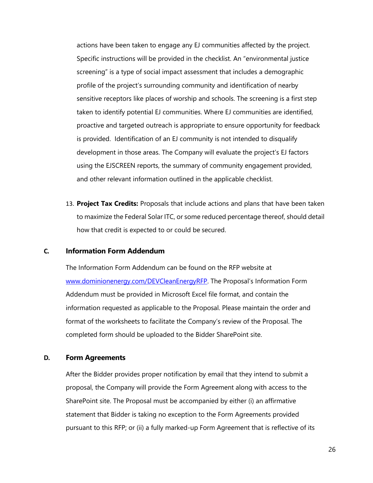actions have been taken to engage any EJ communities affected by the project. Specific instructions will be provided in the checklist. An "environmental justice screening" is a type of social impact assessment that includes a demographic profile of the project's surrounding community and identification of nearby sensitive receptors like places of worship and schools. The screening is a first step taken to identify potential EJ communities. Where EJ communities are identified, proactive and targeted outreach is appropriate to ensure opportunity for feedback is provided. Identification of an EJ community is not intended to disqualify development in those areas. The Company will evaluate the project's EJ factors using the EJSCREEN reports, the summary of community engagement provided, and other relevant information outlined in the applicable checklist.

13. **Project Tax Credits:** Proposals that include actions and plans that have been taken to maximize the Federal Solar ITC, or some reduced percentage thereof, should detail how that credit is expected to or could be secured.

#### <span id="page-26-0"></span>**C. Information Form Addendum**

The Information Form Addendum can be found on the RFP website at [www.dominionenergy.com/DEVCleanEnergyRFP](http://www.dominionenergy.com/DEVCleanEnergyRFP). The Proposal's Information Form Addendum must be provided in Microsoft Excel file format, and contain the information requested as applicable to the Proposal. Please maintain the order and format of the worksheets to facilitate the Company's review of the Proposal. The completed form should be uploaded to the Bidder SharePoint site.

#### <span id="page-26-1"></span>**D. Form Agreements**

After the Bidder provides proper notification by email that they intend to submit a proposal, the Company will provide the Form Agreement along with access to the SharePoint site. The Proposal must be accompanied by either (i) an affirmative statement that Bidder is taking no exception to the Form Agreements provided pursuant to this RFP; or (ii) a fully marked-up Form Agreement that is reflective of its